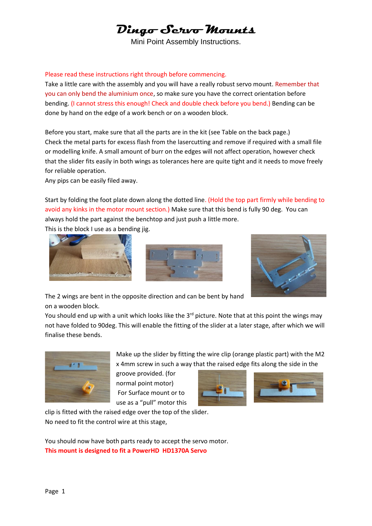# **Dingo Servo Mounts**

Mini Point Assembly Instructions.

#### Please read these instructions right through before commencing.

Take a little care with the assembly and you will have a really robust servo mount. Remember that you can only bend the aluminium once, so make sure you have the correct orientation before bending. (I cannot stress this enough! Check and double check before you bend.) Bending can be done by hand on the edge of a work bench or on a wooden block.

Before you start, make sure that all the parts are in the kit (see Table on the back page.) Check the metal parts for excess flash from the lasercutting and remove if required with a small file or modelling knife. A small amount of burr on the edges will not affect operation, however check that the slider fits easily in both wings as tolerances here are quite tight and it needs to move freely for reliable operation.

Any pips can be easily filed away.

Start by folding the foot plate down along the dotted line. (Hold the top part firmly while bending to avoid any kinks in the motor mount section.) Make sure that this bend is fully 90 deg. You can always hold the part against the benchtop and just push a little more.

This is the block I use as a bending jig.







The 2 wings are bent in the opposite direction and can be bent by hand on a wooden block.

You should end up with a unit which looks like the 3<sup>rd</sup> picture. Note that at this point the wings may not have folded to 90deg. This will enable the fitting of the slider at a later stage, after which we will finalise these bends.



Make up the slider by fitting the wire clip (orange plastic part) with the M2 x 4mm screw in such a way that the raised edge fits along the side in the

groove provided. (for normal point motor) For Surface mount or to use as a "pull" motor this



clip is fitted with the raised edge over the top of the slider. No need to fit the control wire at this stage,

You should now have both parts ready to accept the servo motor. **This mount is designed to fit a PowerHD HD1370A Servo**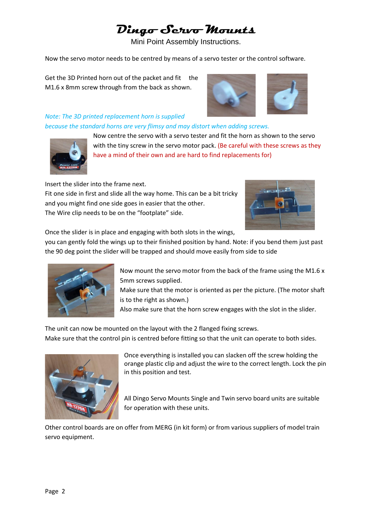# **Dingo Servo Mounts**

Mini Point Assembly Instructions.

Now the servo motor needs to be centred by means of a servo tester or the control software.

Get the 3D Printed horn out of the packet and fit the M1.6 x 8mm screw through from the back as shown.



#### *Note: The 3D printed replacement horn is supplied because the standard horns are very flimsy and may distort when adding screws.*



Now centre the servo with a servo tester and fit the horn as shown to the servo with the tiny screw in the servo motor pack. (Be careful with these screws as they have a mind of their own and are hard to find replacements for)

Insert the slider into the frame next. Fit one side in first and slide all the way home. This can be a bit tricky and you might find one side goes in easier that the other. The Wire clip needs to be on the "footplate" side.



Once the slider is in place and engaging with both slots in the wings,

you can gently fold the wings up to their finished position by hand. Note: if you bend them just past the 90 deg point the slider will be trapped and should move easily from side to side



Now mount the servo motor from the back of the frame using the M1.6 x 5mm screws supplied.

Make sure that the motor is oriented as per the picture. (The motor shaft is to the right as shown.)

Also make sure that the horn screw engages with the slot in the slider.

The unit can now be mounted on the layout with the 2 flanged fixing screws. Make sure that the control pin is centred before fitting so that the unit can operate to both sides.



Once everything is installed you can slacken off the screw holding the orange plastic clip and adjust the wire to the correct length. Lock the pin in this position and test.

All Dingo Servo Mounts Single and Twin servo board units are suitable for operation with these units.

Other control boards are on offer from MERG (in kit form) or from various suppliers of model train servo equipment.